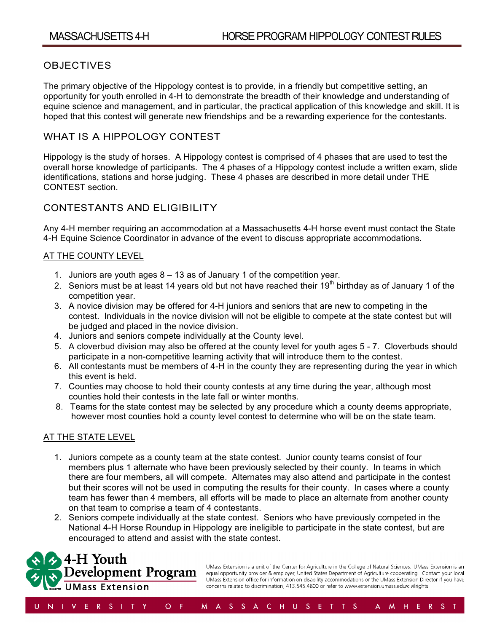# **OBJECTIVES**

The primary objective of the Hippology contest is to provide, in a friendly but competitive setting, an opportunity for youth enrolled in 4-H to demonstrate the breadth of their knowledge and understanding of equine science and management, and in particular, the practical application of this knowledge and skill. It is hoped that this contest will generate new friendships and be a rewarding experience for the contestants.

### WHAT IS A HIPPOLOGY CONTEST

Hippology is the study of horses. A Hippology contest is comprised of 4 phases that are used to test the overall horse knowledge of participants. The 4 phases of a Hippology contest include a written exam, slide identifications, stations and horse judging. These 4 phases are described in more detail under THE CONTEST section.

# CONTESTANTS AND ELIGIBILITY

Any 4-H member requiring an accommodation at a Massachusetts 4-H horse event must contact the State 4-H Equine Science Coordinator in advance of the event to discuss appropriate accommodations.

### **AT THE COUNTY LEVEL**

- 1. Juniors are youth ages 8 13 as of January 1 of the competition year.
- 2. Seniors must be at least 14 years old but not have reached their  $19<sup>th</sup>$  birthday as of January 1 of the competition year.
- 3. A novice division may be offered for 4-H juniors and seniors that are new to competing in the contest. Individuals in the novice division will not be eligible to compete at the state contest but will be judged and placed in the novice division.
- 4. Juniors and seniors compete individually at the County level.
- 5. A cloverbud division may also be offered at the county level for youth ages 5 7. Cloverbuds should participate in a non-competitive learning activity that will introduce them to the contest.
- 6. All contestants must be members of 4-H in the county they are representing during the year in which this event is held.
- 7. Counties may choose to hold their county contests at any time during the year, although most counties hold their contests in the late fall or winter months.
- 8. Teams for the state contest may be selected by any procedure which a county deems appropriate, however most counties hold a county level contest to determine who will be on the state team.

### AT THE STATE LEVEL

- 1. Juniors compete as a county team at the state contest. Junior county teams consist of four members plus 1 alternate who have been previously selected by their county. In teams in which there are four members, all will compete. Alternates may also attend and participate in the contest but their scores will not be used in computing the results for their county. In cases where a county team has fewer than 4 members, all efforts will be made to place an alternate from another county on that team to comprise a team of 4 contestants.
- 2. Seniors compete individually at the state contest. Seniors who have previously competed in the National 4-H Horse Roundup in Hippology are ineligible to participate in the state contest, but are encouraged to attend and assist with the state contest.



UMass Extension is a unit of the Center for Agriculture in the College of Natural Sciences. UMass Extension is an equal opportunity provider & employer, United States Department of Agriculture cooperating. Contact your local UMass Extension office for information on disability accommodations or the UMass Extension Director if you have concerns related to discrimination, 413.545.4800 or refer to www.extension.umass.edu/civilrights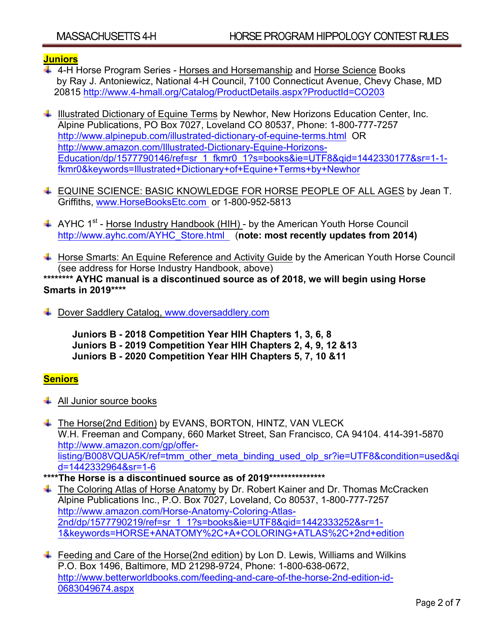# **Juniors**

4-H Horse Program Series - Horses and Horsemanship and Horse Science Books by Ray J. Antoniewicz, National 4-H Council, 7100 Connecticut Avenue, Chevy Chase, MD 20815 http://www.4-hmall.org/Catalog/ProductDetails.aspx?ProductId=CO203

 $\downarrow$  Illustrated Dictionary of Equine Terms by Newhor, New Horizons Education Center, Inc. Alpine Publications, PO Box 7027, Loveland CO 80537, Phone: 1-800-777-7257 http://www.alpinepub.com/illustrated-dictionary-of-equine-terms.html OR http://www.amazon.com/Illustrated-Dictionary-Equine-Horizons-Education/dp/1577790146/ref=sr\_1\_fkmr0\_1?s=books&ie=UTF8&qid=1442330177&sr=1-1 fkmr0&keywords=Illustrated+Dictionary+of+Equine+Terms+by+Newhor

- ↓ EQUINE SCIENCE: BASIC KNOWLEDGE FOR HORSE PEOPLE OF ALL AGES by Jean T. Griffiths, www.HorseBooksEtc.com or 1-800-952-5813
- $\uparrow$  AYHC 1<sup>st</sup> Horse Industry Handbook (HIH) by the American Youth Horse Council http://www.ayhc.com/AYHC\_Store.html (**note: most recently updates from 2014)**
- Horse Smarts: An Equine Reference and Activity Guide by the American Youth Horse Council (see address for Horse Industry Handbook, above)

**\*\*\*\*\*\*\*\* AYHC manual is a discontinued source as of 2018, we will begin using Horse Smarts in 2019\*\*\*\***

Dover Saddlery Catalog, www.doversaddlery.com

**Juniors B - 2018 Competition Year HIH Chapters 1, 3, 6, 8 Juniors B - 2019 Competition Year HIH Chapters 2, 4, 9, 12 &13 Juniors B - 2020 Competition Year HIH Chapters 5, 7, 10 &11**

### **Seniors**

- $\downarrow$  All Junior source books
- ↓ The Horse(2nd Edition) by EVANS, BORTON, HINTZ, VAN VLECK W.H. Freeman and Company, 660 Market Street, San Francisco, CA 94104. 414-391-5870 http://www.amazon.com/gp/offerlisting/B008VQUA5K/ref=tmm\_other\_meta\_binding\_used\_olp\_sr?ie=UTF8&condition=used&qi d=1442332964&sr=1-6
- **\*\*\*\*The Horse is a discontinued source as of 2019\*\*\*\*\*\*\*\*\*\*\*\*\*\*\***
- $\ddot{+}$  The Coloring Atlas of Horse Anatomy by Dr. Robert Kainer and Dr. Thomas McCracken Alpine Publications Inc., P.O. Box 7027, Loveland, Co 80537, 1-800-777-7257 http://www.amazon.com/Horse-Anatomy-Coloring-Atlas-2nd/dp/1577790219/ref=sr\_1\_1?s=books&ie=UTF8&qid=1442333252&sr=1- 1&keywords=HORSE+ANATOMY%2C+A+COLORING+ATLAS%2C+2nd+edition
- $\ddot{+}$  Feeding and Care of the Horse(2nd edition) by Lon D. Lewis, Williams and Wilkins P.O. Box 1496, Baltimore, MD 21298-9724, Phone: 1-800-638-0672, http://www.betterworldbooks.com/feeding-and-care-of-the-horse-2nd-edition-id-0683049674.aspx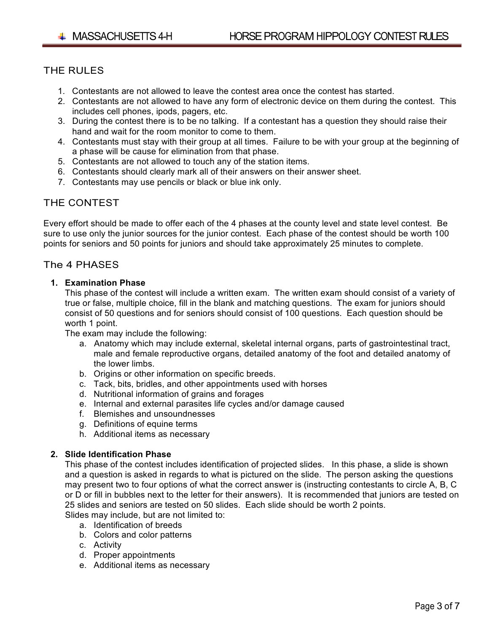# THE RULES

- 1. Contestants are not allowed to leave the contest area once the contest has started.
- 2. Contestants are not allowed to have any form of electronic device on them during the contest. This includes cell phones, ipods, pagers, etc.
- 3. During the contest there is to be no talking. If a contestant has a question they should raise their hand and wait for the room monitor to come to them.
- 4. Contestants must stay with their group at all times. Failure to be with your group at the beginning of a phase will be cause for elimination from that phase.
- 5. Contestants are not allowed to touch any of the station items.
- 6. Contestants should clearly mark all of their answers on their answer sheet.
- 7. Contestants may use pencils or black or blue ink only.

# THE CONTEST

Every effort should be made to offer each of the 4 phases at the county level and state level contest. Be sure to use only the junior sources for the junior contest. Each phase of the contest should be worth 100 points for seniors and 50 points for juniors and should take approximately 25 minutes to complete.

### The 4 PHASES

#### **1. Examination Phase**

This phase of the contest will include a written exam. The written exam should consist of a variety of true or false, multiple choice, fill in the blank and matching questions. The exam for juniors should consist of 50 questions and for seniors should consist of 100 questions. Each question should be worth 1 point.

The exam may include the following:

- a. Anatomy which may include external, skeletal internal organs, parts of gastrointestinal tract, male and female reproductive organs, detailed anatomy of the foot and detailed anatomy of the lower limbs.
- b. Origins or other information on specific breeds.
- c. Tack, bits, bridles, and other appointments used with horses
- d. Nutritional information of grains and forages
- e. Internal and external parasites life cycles and/or damage caused
- f. Blemishes and unsoundnesses
- g. Definitions of equine terms
- h. Additional items as necessary

### **2. Slide Identification Phase**

This phase of the contest includes identification of projected slides. In this phase, a slide is shown and a question is asked in regards to what is pictured on the slide. The person asking the questions may present two to four options of what the correct answer is (instructing contestants to circle A, B, C or D or fill in bubbles next to the letter for their answers). It is recommended that juniors are tested on 25 slides and seniors are tested on 50 slides. Each slide should be worth 2 points. Slides may include, but are not limited to:

a. Identification of breeds

- b. Colors and color patterns
- c. Activity
- d. Proper appointments
- e. Additional items as necessary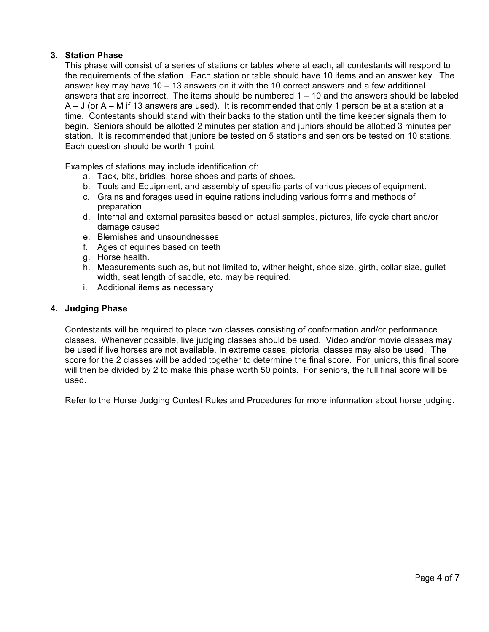### **3. Station Phase**

This phase will consist of a series of stations or tables where at each, all contestants will respond to the requirements of the station. Each station or table should have 10 items and an answer key. The answer key may have  $10 - 13$  answers on it with the 10 correct answers and a few additional answers that are incorrect. The items should be numbered 1 – 10 and the answers should be labeled A – J (or A – M if 13 answers are used). It is recommended that only 1 person be at a station at a time. Contestants should stand with their backs to the station until the time keeper signals them to begin. Seniors should be allotted 2 minutes per station and juniors should be allotted 3 minutes per station. It is recommended that juniors be tested on 5 stations and seniors be tested on 10 stations. Each question should be worth 1 point.

Examples of stations may include identification of:

- a. Tack, bits, bridles, horse shoes and parts of shoes.
- b. Tools and Equipment, and assembly of specific parts of various pieces of equipment.
- c. Grains and forages used in equine rations including various forms and methods of preparation
- d. Internal and external parasites based on actual samples, pictures, life cycle chart and/or damage caused
- e. Blemishes and unsoundnesses
- f. Ages of equines based on teeth
- g. Horse health.
- h. Measurements such as, but not limited to, wither height, shoe size, girth, collar size, gullet width, seat length of saddle, etc. may be required.
- i. Additional items as necessary

#### **4. Judging Phase**

Contestants will be required to place two classes consisting of conformation and/or performance classes. Whenever possible, live judging classes should be used. Video and/or movie classes may be used if live horses are not available. In extreme cases, pictorial classes may also be used. The score for the 2 classes will be added together to determine the final score. For juniors, this final score will then be divided by 2 to make this phase worth 50 points. For seniors, the full final score will be used.

Refer to the Horse Judging Contest Rules and Procedures for more information about horse judging.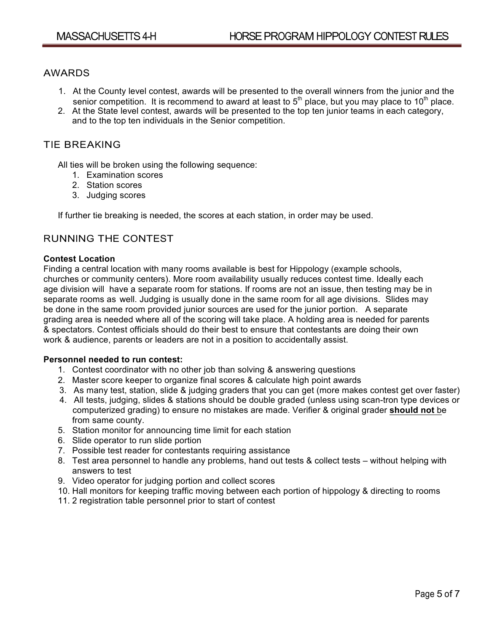### AWARDS

- 1. At the County level contest, awards will be presented to the overall winners from the junior and the senior competition. It is recommend to award at least to  $5<sup>th</sup>$  place, but you may place to 10<sup>th</sup> place.
- 2. At the State level contest, awards will be presented to the top ten junior teams in each category, and to the top ten individuals in the Senior competition.

### TIE BREAKING

All ties will be broken using the following sequence:

- 1. Examination scores
- 2. Station scores
- 3. Judging scores

If further tie breaking is needed, the scores at each station, in order may be used.

# RUNNING THE CONTEST

#### **Contest Location**

Finding a central location with many rooms available is best for Hippology (example schools, churches or community centers). More room availability usually reduces contest time. Ideally each age division will have a separate room for stations. If rooms are not an issue, then testing may be in separate rooms as well. Judging is usually done in the same room for all age divisions. Slides may be done in the same room provided junior sources are used for the junior portion. A separate grading area is needed where all of the scoring will take place. A holding area is needed for parents & spectators. Contest officials should do their best to ensure that contestants are doing their own work & audience, parents or leaders are not in a position to accidentally assist.

#### **Personnel needed to run contest:**

- 1. Contest coordinator with no other job than solving & answering questions
- 2. Master score keeper to organize final scores & calculate high point awards
- 3. As many test, station, slide & judging graders that you can get (more makes contest get over faster)
- 4. All tests, judging, slides & stations should be double graded (unless using scan-tron type devices or computerized grading) to ensure no mistakes are made. Verifier & original grader **should not** be from same county.
- 5. Station monitor for announcing time limit for each station
- 6. Slide operator to run slide portion
- 7. Possible test reader for contestants requiring assistance
- 8. Test area personnel to handle any problems, hand out tests & collect tests without helping with answers to test
- 9. Video operator for judging portion and collect scores
- 10. Hall monitors for keeping traffic moving between each portion of hippology & directing to rooms
- 11. 2 registration table personnel prior to start of contest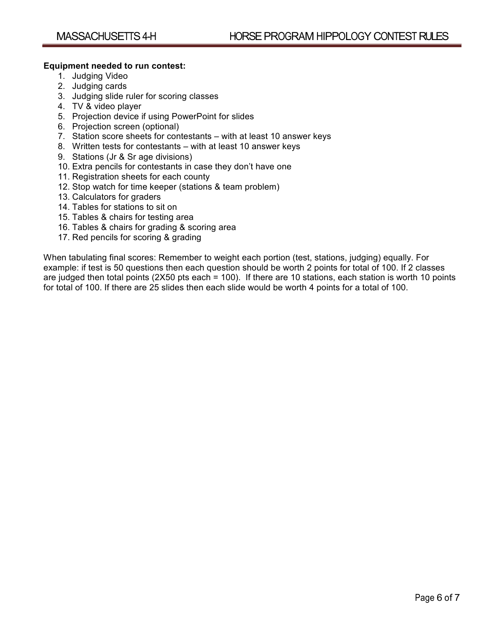#### **Equipment needed to run contest:**

- 1. Judging Video
- 2. Judging cards
- 3. Judging slide ruler for scoring classes
- 4. TV & video player
- 5. Projection device if using PowerPoint for slides
- 6. Projection screen (optional)
- 7. Station score sheets for contestants with at least 10 answer keys
- 8. Written tests for contestants with at least 10 answer keys
- 9. Stations (Jr & Sr age divisions)
- 10. Extra pencils for contestants in case they don't have one
- 11. Registration sheets for each county
- 12. Stop watch for time keeper (stations & team problem)
- 13. Calculators for graders
- 14. Tables for stations to sit on
- 15. Tables & chairs for testing area
- 16. Tables & chairs for grading & scoring area
- 17. Red pencils for scoring & grading

When tabulating final scores: Remember to weight each portion (test, stations, judging) equally. For example: if test is 50 questions then each question should be worth 2 points for total of 100. If 2 classes are judged then total points (2X50 pts each = 100). If there are 10 stations, each station is worth 10 points for total of 100. If there are 25 slides then each slide would be worth 4 points for a total of 100.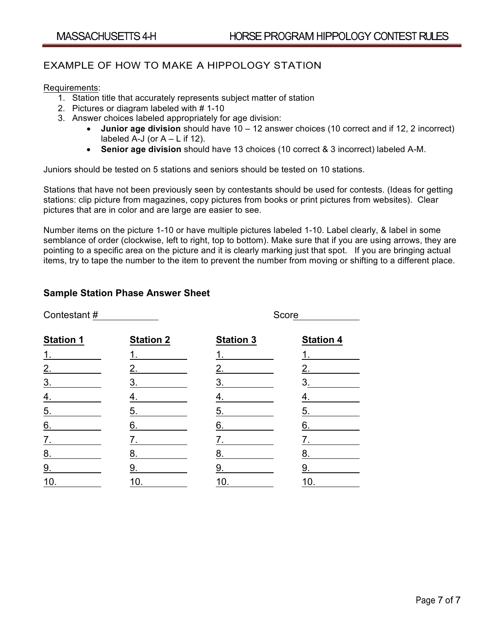# EXAMPLE OF HOW TO MAKE A HIPPOLOGY STATION

#### Requirements:

- 1. Station title that accurately represents subject matter of station
- 2. Pictures or diagram labeled with # 1-10
- 3. Answer choices labeled appropriately for age division:
	- **Junior age division** should have 10 12 answer choices (10 correct and if 12, 2 incorrect) labeled A-J (or  $A - L$  if 12).
	- **Senior age division** should have 13 choices (10 correct & 3 incorrect) labeled A-M.

Juniors should be tested on 5 stations and seniors should be tested on 10 stations.

Stations that have not been previously seen by contestants should be used for contests. (Ideas for getting stations: clip picture from magazines, copy pictures from books or print pictures from websites). Clear pictures that are in color and are large are easier to see.

Number items on the picture 1-10 or have multiple pictures labeled 1-10. Label clearly, & label in some semblance of order (clockwise, left to right, top to bottom). Make sure that if you are using arrows, they are pointing to a specific area on the picture and it is clearly marking just that spot. If you are bringing actual items, try to tape the number to the item to prevent the number from moving or shifting to a different place.

### **Sample Station Phase Answer Sheet**

| Contestant#       |                  | Score                |                  |  |
|-------------------|------------------|----------------------|------------------|--|
| <b>Station 1</b>  | <b>Station 2</b> | <b>Station 3</b>     | <b>Station 4</b> |  |
| 1 <sub>1</sub>    | 1.               | $1.$ $\qquad \qquad$ | 1.               |  |
| 2.                | 2.               | 2.                   | 2.               |  |
| 3 <sub>1</sub>    | 3.               | $\overline{3}$ .     | 3.               |  |
| $\overline{4}$ .  | 4.               | 4.                   | 4.               |  |
| $\underline{5}$ . | 5.               | 5.                   | 5.               |  |
| 6.                | 6.               | 6.                   | 6.               |  |
| 7.                | 7.               | 7.                   | 7.               |  |
| 8.                | <u>8.</u>        | 8.                   | 8.               |  |
| 9.                | 9.               | 9.                   | 9.               |  |
| 10.               | 10.              | 10.                  | 10.              |  |